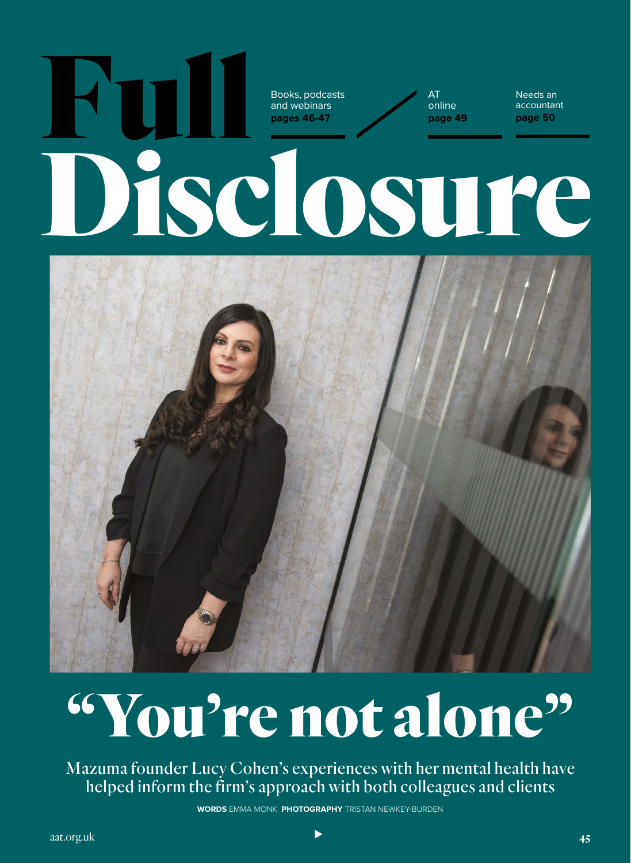

# "You're not alone"

Mazuma founder Lucy Cohen's experiences with her mental health have helped inform the firm's approach with both colleagues and clients

**WORDS** EMMA MONK **PHOTOGRAPHY** TRISTAN NEWKEY-BURDEN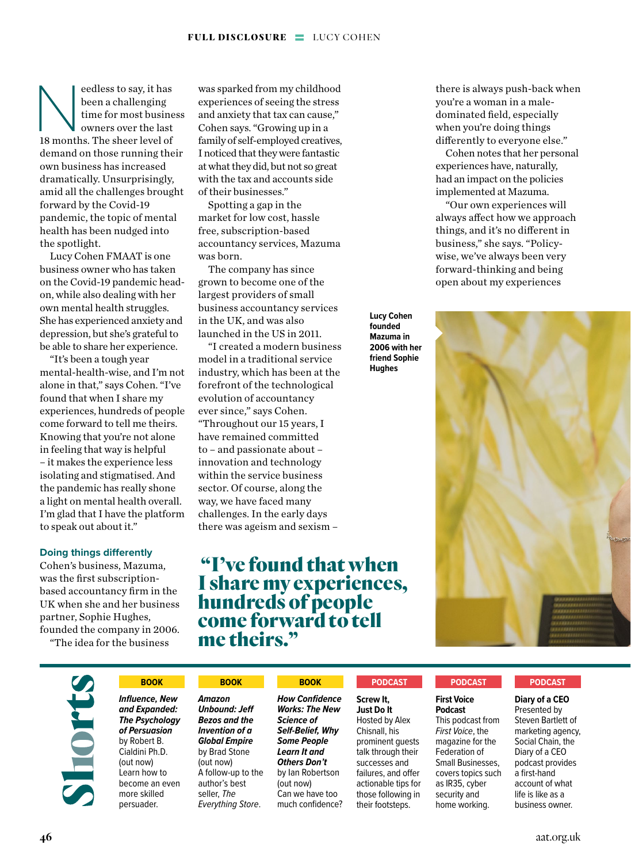eedless to say, it has<br>
been a challenging<br>
time for most busine<br>
owners over the last<br>
18 months. The sheer level of been a challenging time for most business owners over the last demand on those running their own business has increased dramatically. Unsurprisingly, amid all the challenges brought forward by the Covid-19 pandemic, the topic of mental health has been nudged into the spotlight.

Lucy Cohen FMAAT is one business owner who has taken on the Covid-19 pandemic headon, while also dealing with her own mental health struggles. She has experienced anxiety and depression, but she's grateful to be able to share her experience.

"It's been a tough year mental-health-wise, and I'm not alone in that," says Cohen. "I've found that when I share my experiences, hundreds of people come forward to tell me theirs. Knowing that you're not alone in feeling that way is helpful – it makes the experience less isolating and stigmatised. And the pandemic has really shone a light on mental health overall. I'm glad that I have the platform to speak out about it."

# **Doing things differently**

Cohen's business, Mazuma, was the first subscriptionbased accountancy firm in the UK when she and her business partner, Sophie Hughes, founded the company in 2006.

"The idea for the business

was sparked from my childhood experiences of seeing the stress and anxiety that tax can cause," Cohen says. "Growing up in a family of self-employed creatives, I noticed that they were fantastic at what they did, but not so great with the tax and accounts side of their businesses."

Spotting a gap in the market for low cost, hassle free, subscription-based accountancy services, Mazuma was born.

The company has since grown to become one of the largest providers of small business accountancy services in the UK, and was also launched in the US in 2011.

"I created a modern business model in a traditional service industry, which has been at the forefront of the technological evolution of accountancy ever since," says Cohen. "Throughout our 15 years, I have remained committed to – and passionate about – innovation and technology within the service business sector. Of course, along the way, we have faced many challenges. In the early days there was ageism and sexism –

# "I've found that when I share my experiences, hundreds of people come forward to tell me theirs."

there is always push-back when you're a woman in a maledominated field, especially when you're doing things differently to everyone else."

Cohen notes that her personal experiences have, naturally, had an impact on the policies implemented at Mazuma.

"Our own experiences will always affect how we approach things, and it's no different in business," she says. "Policywise, we've always been very forward-thinking and being open about my experiences

**Lucy Cohen founded Mazuma in 2006 with her friend Sophie Hughes**



*Influence, New and Expanded: The Psychology of Persuasion* by Robert B. Cialdini Ph.D. (out now) Learn how to become an even more skilled persuader.

# **BOOK BOOK BOOK PODCAST PODCAST**

*Amazon Unbound: Jeff Bezos and the Invention of a Global Empire* by Brad Stone (out now) A follow-up to the author's best seller, *The Everything Store*.

*How Confidence Works: The New Science of Self-Belief, Why Some People Learn It and Others Don't* by Ian Robertson (out now) Can we have too much confidence?

**Screw It, Just Do It** Hosted by Alex Chisnall, his prominent guests talk through their successes and failures, and offer actionable tips for those following in their footsteps.

**First Voice Podcast** This podcast from *First Voice*, the magazine for the Federation of Small Businesses, covers topics such as IR35, cyber security and home working.

# **PODCAST**

**Diary of a CEO**  Presented by Steven Bartlett of marketing agency, Social Chain, the Diary of a CEO podcast provides a first-hand account of what life is like as a

business owner.